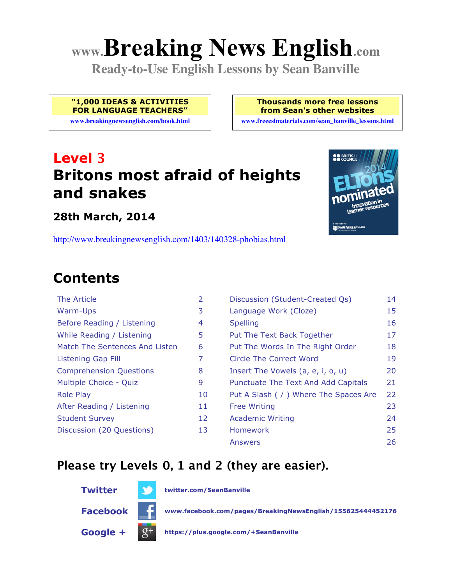# **www.Breaking News English.com**

**Ready-to-Use English Lessons by Sean Banville**

**"1,000 IDEAS & ACTIVITIES FOR LANGUAGE TEACHERS"**

**www.breakingnewsenglish.com/book.html**

**Thousands more free lessons from Sean's other websites**

**www.freeeslmaterials.com/sean\_banville\_lessons.html**

# **Level 3 Britons most afraid of heights and snakes**

**28th March, 2014**

http://www.breakingnewsenglish.com/1403/140328-phobias.html

# **Contents**

| The Article                    | 2 |
|--------------------------------|---|
| Warm-Ups                       | Ġ |
| Before Reading / Listening     | 4 |
| While Reading / Listening      | 5 |
| Match The Sentences And Listen | Е |
| <b>Listening Gap Fill</b>      | 7 |
| <b>Comprehension Questions</b> | ۶ |
| Multiple Choice - Quiz         | ç |
| Role Play                      | 1 |
| After Reading / Listening      | 1 |
| <b>Student Survey</b>          | 1 |
| Discussion (20 Questions)      | 1 |
|                                |   |

| The Article                    | 2  | Discussion (Student-Created Qs)        | 14 |
|--------------------------------|----|----------------------------------------|----|
| <b>Warm-Ups</b>                | 3  | Language Work (Cloze)                  | 15 |
| Before Reading / Listening     | 4  | <b>Spelling</b>                        | 16 |
| While Reading / Listening      | 5  | Put The Text Back Together             | 17 |
| Match The Sentences And Listen | 6  | Put The Words In The Right Order       | 18 |
| <b>Listening Gap Fill</b>      | 7  | Circle The Correct Word                | 19 |
| <b>Comprehension Questions</b> | 8  | Insert The Vowels (a, e, i, o, u)      | 20 |
| Multiple Choice - Quiz         | 9  | Punctuate The Text And Add Capitals    | 21 |
| <b>Role Play</b>               | 10 | Put A Slash ( / ) Where The Spaces Are | 22 |
| After Reading / Listening      | 11 | <b>Free Writing</b>                    | 23 |
| <b>Student Survey</b>          | 12 | <b>Academic Writing</b>                | 24 |
| Discussion (20 Questions)      | 13 | <b>Homework</b>                        | 25 |
|                                |    | <b>Answers</b>                         | 26 |

#### **Please try Levels 0, 1 and 2 (they are easier).**





**Twitter twitter.com/SeanBanville**

**Facebook www.facebook.com/pages/BreakingNewsEnglish/155625444452176**

**Google + https://plus.google.com/+SeanBanville**

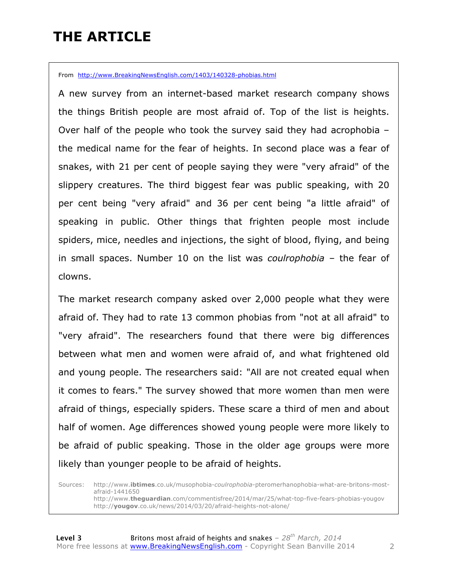# **THE ARTICLE**

From http://www.BreakingNewsEnglish.com/1403/140328-phobias.html

A new survey from an internet-based market research company shows the things British people are most afraid of. Top of the list is heights. Over half of the people who took the survey said they had acrophobia – the medical name for the fear of heights. In second place was a fear of snakes, with 21 per cent of people saying they were "very afraid" of the slippery creatures. The third biggest fear was public speaking, with 20 per cent being "very afraid" and 36 per cent being "a little afraid" of speaking in public. Other things that frighten people most include spiders, mice, needles and injections, the sight of blood, flying, and being in small spaces. Number 10 on the list was *coulrophobia* – the fear of clowns.

The market research company asked over 2,000 people what they were afraid of. They had to rate 13 common phobias from "not at all afraid" to "very afraid". The researchers found that there were big differences between what men and women were afraid of, and what frightened old and young people. The researchers said: "All are not created equal when it comes to fears." The survey showed that more women than men were afraid of things, especially spiders. These scare a third of men and about half of women. Age differences showed young people were more likely to be afraid of public speaking. Those in the older age groups were more likely than younger people to be afraid of heights.

Sources: http://www.**ibtimes**.co.uk/musophobia-*coulrophobia*-pteromerhanophobia-what-are-britons-mostafraid-1441650 http://www.**theguardian**.com/commentisfree/2014/mar/25/what-top-five-fears-phobias-yougov http://**yougov**.co.uk/news/2014/03/20/afraid-heights-not-alone/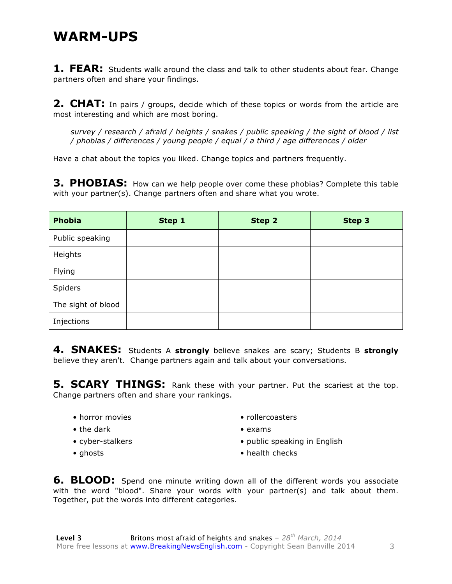#### **WARM-UPS**

**1. FEAR:** Students walk around the class and talk to other students about fear. Change partners often and share your findings.

**2. CHAT:** In pairs / groups, decide which of these topics or words from the article are most interesting and which are most boring.

*survey / research / afraid / heights / snakes / public speaking / the sight of blood / list / phobias / differences / young people / equal / a third / age differences / older*

Have a chat about the topics you liked. Change topics and partners frequently.

**3. PHOBIAS:** How can we help people over come these phobias? Complete this table with your partner(s). Change partners often and share what you wrote.

| <b>Phobia</b>      | Step 1 | Step 2 | Step 3 |
|--------------------|--------|--------|--------|
| Public speaking    |        |        |        |
| Heights            |        |        |        |
| Flying             |        |        |        |
| Spiders            |        |        |        |
| The sight of blood |        |        |        |
| Injections         |        |        |        |

**4. SNAKES:** Students A **strongly** believe snakes are scary; Students B **strongly** believe they aren't. Change partners again and talk about your conversations.

**5. SCARY THINGS:** Rank these with your partner. Put the scariest at the top. Change partners often and share your rankings.

- horror movies
- the dark
- cyber-stalkers
- ghosts
- rollercoasters
- exams
- public speaking in English
- health checks

**6. BLOOD:** Spend one minute writing down all of the different words you associate with the word "blood". Share your words with your partner(s) and talk about them. Together, put the words into different categories.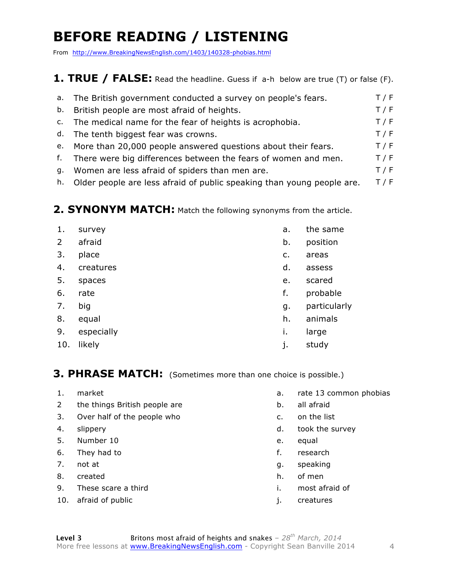# **BEFORE READING / LISTENING**

From http://www.BreakingNewsEnglish.com/1403/140328-phobias.html

#### **1. TRUE / FALSE:** Read the headline. Guess if a-h below are true (T) or false (F).

|    | a. The British government conducted a survey on people's fears.  | T / F |
|----|------------------------------------------------------------------|-------|
|    | b. British people are most afraid of heights.                    | T / F |
|    | c. The medical name for the fear of heights is acrophobia.       | T / F |
|    | d. The tenth biggest fear was crowns.                            | T / F |
|    | e. More than 20,000 people answered questions about their fears. | T / F |
| f. | There were big differences between the fears of women and men.   | T / F |
| g. | Women are less afraid of spiders than men are.                   | T / F |
|    |                                                                  |       |

h. Older people are less afraid of public speaking than young people are.  $T / F$ 

#### **2. SYNONYM MATCH:** Match the following synonyms from the article.

| 1.          | survey     | a. | the same     |
|-------------|------------|----|--------------|
| $2^{\circ}$ | afraid     | b. | position     |
| 3.          | place      | c. | areas        |
| 4.          | creatures  | d. | assess       |
| 5.          | spaces     | e. | scared       |
| 6.          | rate       | f. | probable     |
| 7.          | big        | g. | particularly |
| 8.          | equal      | h. | animals      |
| 9.          | especially | i. | large        |
| 10.         | likely     | j. | study        |
|             |            |    |              |

#### **3. PHRASE MATCH:** (Sometimes more than one choice is possible.)

- 
- 2 the things British people are b. all afraid
- 3. Over half of the people who c. on the list
- 
- 5. Number 10 e. equal
- 6. They had to f. research
- 
- 8. created has been contained by the created health  $h$ , of men
- 9. These scare a third in the set of the set of the set of the set of the set of the set of the set of the set of the set of the set of the set of the set of the set of the set of the set of the set of the set of the set o
- 10. afraid of public interests of the settlement of the settlement of the settlement of the settlement of the set
- 1. market **a.** rate 13 common phobias
	-
	-
- 4. slippery d. took the survey
	-
	-
- 7. not at  $\qquad \qquad q.$  speaking
	-
	-
	-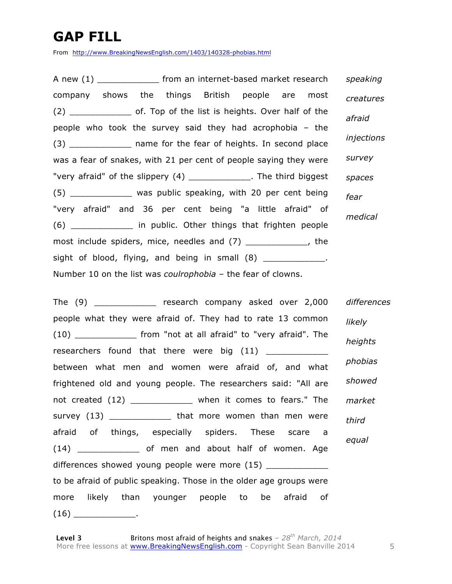### **GAP FILL**

From http://www.BreakingNewsEnglish.com/1403/140328-phobias.html

A new (1) The from an internet-based market research company shows the things British people are most (2) \_\_\_\_\_\_\_\_\_\_\_\_ of. Top of the list is heights. Over half of the people who took the survey said they had acrophobia – the (3) \_\_\_\_\_\_\_\_\_\_\_\_\_\_ name for the fear of heights. In second place was a fear of snakes, with 21 per cent of people saying they were "very afraid" of the slippery (4) \_\_\_\_\_\_\_\_\_\_\_\_. The third biggest (5) \_\_\_\_\_\_\_\_\_\_\_\_ was public speaking, with 20 per cent being "very afraid" and 36 per cent being "a little afraid" of (6) \_\_\_\_\_\_\_\_\_\_\_\_ in public. Other things that frighten people most include spiders, mice, needles and (7) The result of the sight of blood, flying, and being in small  $(8)$ Number 10 on the list was *coulrophobia* – the fear of clowns. *speaking creatures afraid injections survey spaces fear medical*

The (9) The research company asked over 2,000 people what they were afraid of. They had to rate 13 common (10) \_\_\_\_\_\_\_\_\_\_\_\_ from "not at all afraid" to "very afraid". The researchers found that there were big (11) between what men and women were afraid of, and what frightened old and young people. The researchers said: "All are not created (12) \_\_\_\_\_\_\_\_\_\_\_\_\_ when it comes to fears." The survey (13) \_\_\_\_\_\_\_\_\_\_\_\_\_\_ that more women than men were afraid of things, especially spiders. These scare a (14) \_\_\_\_\_\_\_\_\_\_\_\_ of men and about half of women. Age differences showed young people were more (15) to be afraid of public speaking. Those in the older age groups were more likely than younger people to be afraid of  $(16)$  \_\_\_\_\_\_\_\_\_\_\_\_\_\_\_. *differences likely heights phobias showed market third equal*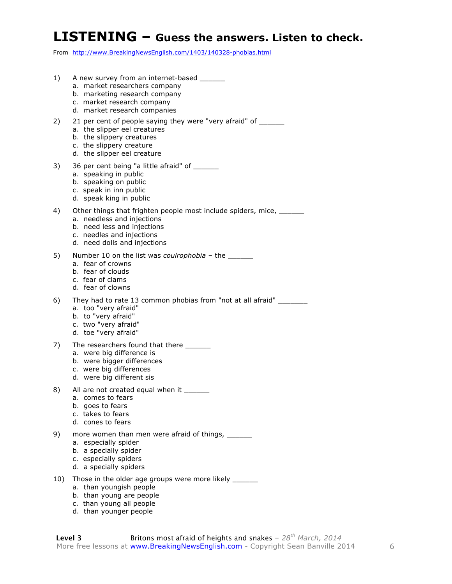#### **LISTENING – Guess the answers. Listen to check.**

From http://www.BreakingNewsEnglish.com/1403/140328-phobias.html

- 1) A new survey from an internet-based
	- a. market researchers company
	- b. marketing research company
	- c. market research company
	- d. market research companies
- 2) 21 per cent of people saying they were "very afraid" of \_\_\_\_\_\_
	- a. the slipper eel creatures
	- b. the slippery creatures
	- c. the slippery creature
	- d. the slipper eel creature
- 3) 36 per cent being "a little afraid" of \_\_\_\_\_\_
	- a. speaking in public
	- b. speaking on public
	- c. speak in inn public
	- d. speak king in public
- 4) Other things that frighten people most include spiders, mice, \_\_\_\_\_\_
	- a. needless and injections
	- b. need less and injections
	- c. needles and injections
	- d. need dolls and injections
- 5) Number 10 on the list was *coulrophobia* the \_\_\_\_\_\_\_
	- a. fear of crowns
	- b. fear of clouds
	- c. fear of clams
	- d. fear of clowns
- 6) They had to rate 13 common phobias from "not at all afraid" \_\_\_\_\_\_\_
	- a. too "very afraid"
	- b. to "very afraid"
	- c. two "very afraid"
	- d. toe "very afraid"
- 7) The researchers found that there \_\_\_\_\_\_
	- a. were big difference is
	- b. were bigger differences
	- c. were big differences
	- d. were big different sis
- 8) All are not created equal when it \_\_\_\_\_\_
	- a. comes to fears
	- b. goes to fears
	- c. takes to fears
	- d. cones to fears
- 9) more women than men were afraid of things, \_\_\_\_\_\_\_
	- a. especially spider
	- b. a specially spider
	- c. especially spiders
	- d. a specially spiders
- 10) Those in the older age groups were more likely \_\_\_\_\_\_
	- a. than youngish people
	- b. than young are people
	- c. than young all people
	- d. than younger people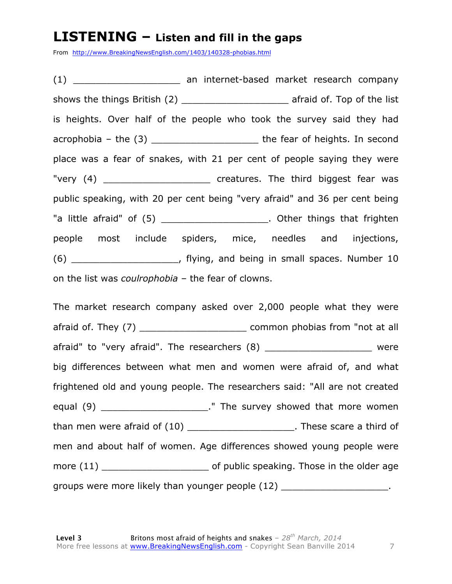#### **LISTENING – Listen and fill in the gaps**

From http://www.BreakingNewsEnglish.com/1403/140328-phobias.html

(1) an internet-based market research company shows the things British (2) afraid of. Top of the list is heights. Over half of the people who took the survey said they had acrophobia – the (3) \_\_\_\_\_\_\_\_\_\_\_\_\_\_\_\_\_\_\_ the fear of heights. In second place was a fear of snakes, with 21 per cent of people saying they were "very (4) The third biggest fear was public speaking, with 20 per cent being "very afraid" and 36 per cent being "a little afraid" of (5) \_\_\_\_\_\_\_\_\_\_\_\_\_\_\_\_\_\_\_\_\_. Other things that frighten people most include spiders, mice, needles and injections, (6) \_\_\_\_\_\_\_\_\_\_\_\_\_\_\_\_\_\_\_, flying, and being in small spaces. Number 10 on the list was *coulrophobia* – the fear of clowns.

The market research company asked over 2,000 people what they were afraid of. They (7) \_\_\_\_\_\_\_\_\_\_\_\_\_\_\_\_\_\_\_ common phobias from "not at all afraid" to "very afraid". The researchers (8) \_\_\_\_\_\_\_\_\_\_\_\_\_\_\_\_\_\_\_\_\_\_\_ were big differences between what men and women were afraid of, and what frightened old and young people. The researchers said: "All are not created equal (9) \_\_\_\_\_\_\_\_\_\_\_\_\_\_\_\_\_\_\_\_\_\_." The survey showed that more women than men were afraid of (10) \_\_\_\_\_\_\_\_\_\_\_\_\_\_\_\_\_\_\_\_\_\_. These scare a third of men and about half of women. Age differences showed young people were more (11) \_\_\_\_\_\_\_\_\_\_\_\_\_\_\_\_\_\_\_ of public speaking. Those in the older age groups were more likely than younger people (12) \_\_\_\_\_\_\_\_\_\_\_\_\_\_\_\_\_\_\_\_\_.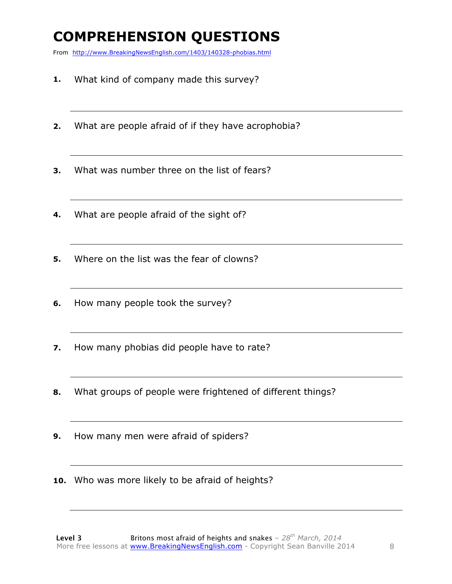### **COMPREHENSION QUESTIONS**

From http://www.BreakingNewsEnglish.com/1403/140328-phobias.html

- **1.** What kind of company made this survey?
- **2.** What are people afraid of if they have acrophobia?
- **3.** What was number three on the list of fears?
- **4.** What are people afraid of the sight of?
- **5.** Where on the list was the fear of clowns?
- **6.** How many people took the survey?
- **7.** How many phobias did people have to rate?
- **8.** What groups of people were frightened of different things?
- **9.** How many men were afraid of spiders?
- **10.** Who was more likely to be afraid of heights?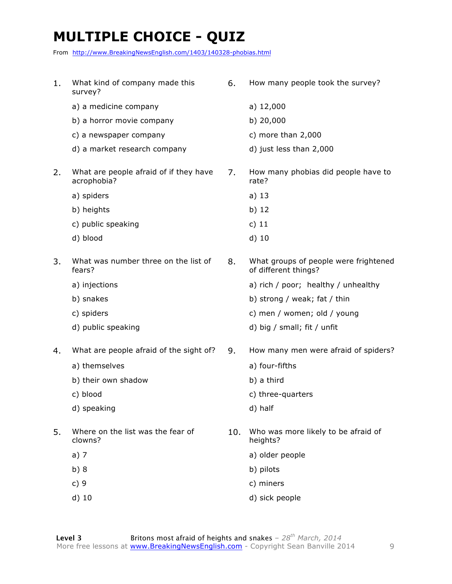# **MULTIPLE CHOICE - QUIZ**

From http://www.BreakingNewsEnglish.com/1403/140328-phobias.html

| 1. | What kind of company made this<br>survey?             | 6.  | How many people took the survey?                              |
|----|-------------------------------------------------------|-----|---------------------------------------------------------------|
|    | a) a medicine company                                 |     | a) $12,000$                                                   |
|    | b) a horror movie company                             |     | b) 20,000                                                     |
|    | c) a newspaper company                                |     | c) more than $2,000$                                          |
|    | d) a market research company                          |     | d) just less than 2,000                                       |
| 2. | What are people afraid of if they have<br>acrophobia? | 7.  | How many phobias did people have to<br>rate?                  |
|    | a) spiders                                            |     | a) $13$                                                       |
|    | b) heights                                            |     | b) $12$                                                       |
|    | c) public speaking                                    |     | c) $11$                                                       |
|    | d) blood                                              |     | $d)$ 10                                                       |
| 3. | What was number three on the list of<br>fears?        | 8.  | What groups of people were frightened<br>of different things? |
|    | a) injections                                         |     | a) rich / poor; healthy / unhealthy                           |
|    | b) snakes                                             |     | b) strong / weak; fat / thin                                  |
|    | c) spiders                                            |     | c) men / women; old / young                                   |
|    | d) public speaking                                    |     | d) big / small; fit / unfit                                   |
| 4. | What are people afraid of the sight of?               | 9.  | How many men were afraid of spiders?                          |
|    | a) themselves                                         |     | a) four-fifths                                                |
|    | b) their own shadow                                   |     | b) a third                                                    |
|    | c) blood                                              |     | c) three-quarters                                             |
|    | d) speaking                                           |     | d) half                                                       |
| 5. | Where on the list was the fear of<br>clowns?          | 10. | Who was more likely to be afraid of<br>heights?               |
|    | a) $7$                                                |     | a) older people                                               |
|    | b)8                                                   |     | b) pilots                                                     |
|    | c)9                                                   |     | c) miners                                                     |
|    | $d)$ 10                                               |     | d) sick people                                                |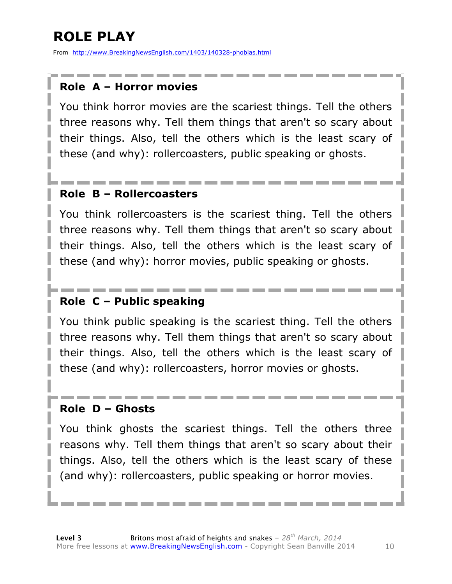# **ROLE PLAY**

From http://www.BreakingNewsEnglish.com/1403/140328-phobias.html

#### **Role A – Horror movies**

You think horror movies are the scariest things. Tell the others three reasons why. Tell them things that aren't so scary about their things. Also, tell the others which is the least scary of these (and why): rollercoasters, public speaking or ghosts.

#### **Role B – Rollercoasters**

You think rollercoasters is the scariest thing. Tell the others three reasons why. Tell them things that aren't so scary about their things. Also, tell the others which is the least scary of these (and why): horror movies, public speaking or ghosts.

#### **Role C – Public speaking**

You think public speaking is the scariest thing. Tell the others three reasons why. Tell them things that aren't so scary about their things. Also, tell the others which is the least scary of these (and why): rollercoasters, horror movies or ghosts.

#### **Role D – Ghosts**

You think ghosts the scariest things. Tell the others three reasons why. Tell them things that aren't so scary about their things. Also, tell the others which is the least scary of these (and why): rollercoasters, public speaking or horror movies.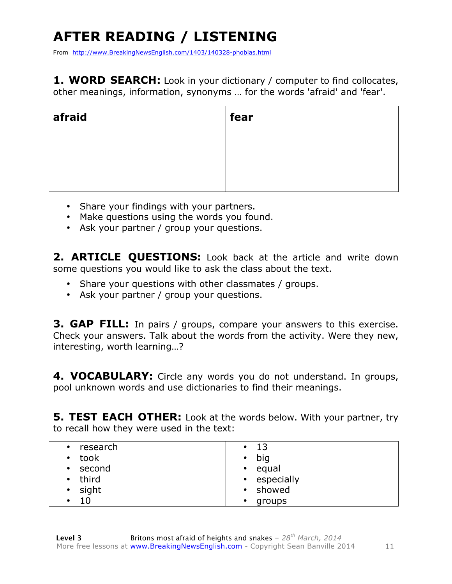# **AFTER READING / LISTENING**

From http://www.BreakingNewsEnglish.com/1403/140328-phobias.html

1. WORD SEARCH: Look in your dictionary / computer to find collocates, other meanings, information, synonyms … for the words 'afraid' and 'fear'.

| afraid | fear |
|--------|------|
|        |      |
|        |      |
|        |      |

- Share your findings with your partners.
- Make questions using the words you found.
- Ask your partner / group your questions.

**2. ARTICLE QUESTIONS:** Look back at the article and write down some questions you would like to ask the class about the text.

- Share your questions with other classmates / groups.
- Ask your partner / group your questions.

**3. GAP FILL:** In pairs / groups, compare your answers to this exercise. Check your answers. Talk about the words from the activity. Were they new, interesting, worth learning…?

4. VOCABULARY: Circle any words you do not understand. In groups, pool unknown words and use dictionaries to find their meanings.

**5. TEST EACH OTHER:** Look at the words below. With your partner, try to recall how they were used in the text:

| • research    | $\cdot$ 13          |
|---------------|---------------------|
| • took        | $\bullet$ big       |
| • second      | • equal             |
| • third       | • especially        |
| $\cdot$ sight | • showed            |
| 10<br>٠       | groups<br>$\bullet$ |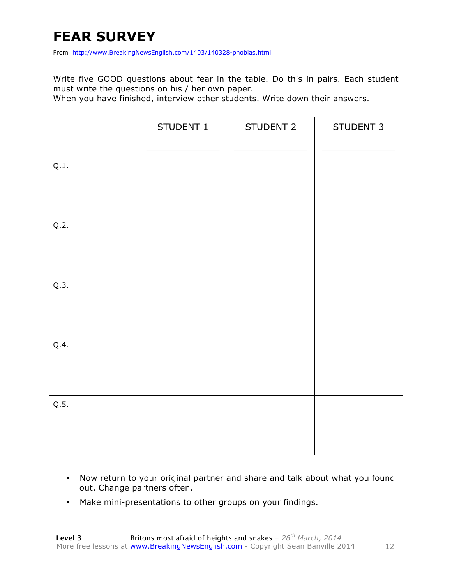# **FEAR SURVEY**

From http://www.BreakingNewsEnglish.com/1403/140328-phobias.html

Write five GOOD questions about fear in the table. Do this in pairs. Each student must write the questions on his / her own paper.

When you have finished, interview other students. Write down their answers.

|      | STUDENT 1 | STUDENT 2 | STUDENT 3 |
|------|-----------|-----------|-----------|
| Q.1. |           |           |           |
| Q.2. |           |           |           |
| Q.3. |           |           |           |
| Q.4. |           |           |           |
| Q.5. |           |           |           |

- Now return to your original partner and share and talk about what you found out. Change partners often.
- Make mini-presentations to other groups on your findings.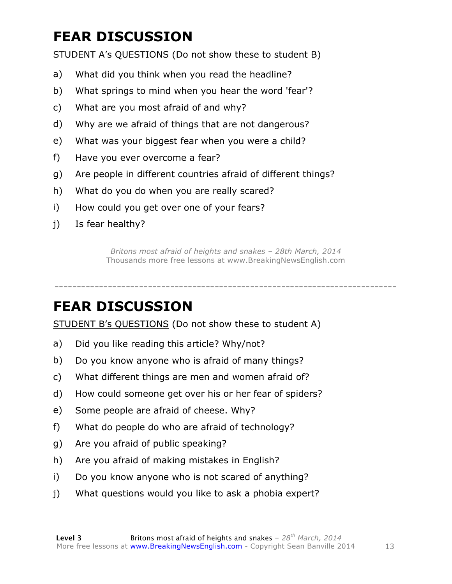# **FEAR DISCUSSION**

STUDENT A's QUESTIONS (Do not show these to student B)

- a) What did you think when you read the headline?
- b) What springs to mind when you hear the word 'fear'?
- c) What are you most afraid of and why?
- d) Why are we afraid of things that are not dangerous?
- e) What was your biggest fear when you were a child?
- f) Have you ever overcome a fear?
- g) Are people in different countries afraid of different things?
- h) What do you do when you are really scared?
- i) How could you get over one of your fears?
- j) Is fear healthy?

*Britons most afraid of heights and snakes – 28th March, 2014* Thousands more free lessons at www.BreakingNewsEnglish.com

-----------------------------------------------------------------------------

### **FEAR DISCUSSION**

STUDENT B's QUESTIONS (Do not show these to student A)

- a) Did you like reading this article? Why/not?
- b) Do you know anyone who is afraid of many things?
- c) What different things are men and women afraid of?
- d) How could someone get over his or her fear of spiders?
- e) Some people are afraid of cheese. Why?
- f) What do people do who are afraid of technology?
- g) Are you afraid of public speaking?
- h) Are you afraid of making mistakes in English?
- i) Do you know anyone who is not scared of anything?
- j) What questions would you like to ask a phobia expert?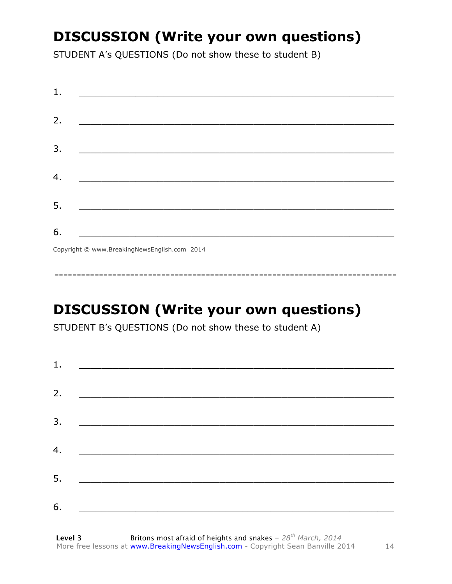### **DISCUSSION (Write your own questions)**

STUDENT A's QUESTIONS (Do not show these to student B)

| 1. | <u> 1989 - Jan James James Barnett, fransk politik (d. 1989)</u>                                                      |
|----|-----------------------------------------------------------------------------------------------------------------------|
|    |                                                                                                                       |
| 2. |                                                                                                                       |
| 3. |                                                                                                                       |
|    |                                                                                                                       |
| 4. | <u> 1980 - Johann John Stone, mars eta biztanleria (h. 1980).</u>                                                     |
| 5. | <u> 1989 - Andrea Station Barbara, amerikan personal di personal dengan personal dengan personal dengan personal </u> |
| 6. |                                                                                                                       |
|    | $\sigma$ $\cdots$ $\sigma$ $\cdots$ $\cdots$ $\sigma$ $\cdots$ $\sigma$                                               |

Copyright © www.BreakingNewsEnglish.com 2014

# **DISCUSSION (Write your own questions)**

STUDENT B's QUESTIONS (Do not show these to student A)

| 1. | <u> 1980 - Andrea Barbara, poeta esperanto-</u>                                                                      |  |
|----|----------------------------------------------------------------------------------------------------------------------|--|
|    |                                                                                                                      |  |
| 2. | <u> 1980 - Jan James James James James James James James James James James James James James James James James J</u> |  |
| 3. |                                                                                                                      |  |
| 4. |                                                                                                                      |  |
|    |                                                                                                                      |  |
| 5. | <u> 1980 - Johann Barbara, martin amerikan ba</u>                                                                    |  |
| 6. |                                                                                                                      |  |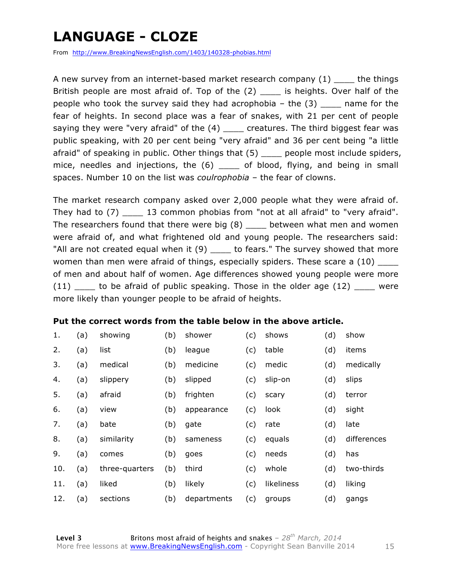### **LANGUAGE - CLOZE**

From http://www.BreakingNewsEnglish.com/1403/140328-phobias.html

A new survey from an internet-based market research company (1) the things British people are most afraid of. Top of the (2) \_\_\_\_\_ is heights. Over half of the people who took the survey said they had acrophobia  $-$  the  $(3)$  \_\_\_\_ name for the fear of heights. In second place was a fear of snakes, with 21 per cent of people saying they were "very afraid" of the  $(4)$  \_\_\_\_ creatures. The third biggest fear was public speaking, with 20 per cent being "very afraid" and 36 per cent being "a little afraid" of speaking in public. Other things that (5) \_\_\_\_ people most include spiders, mice, needles and injections, the (6) \_\_\_\_ of blood, flying, and being in small spaces. Number 10 on the list was *coulrophobia* – the fear of clowns.

The market research company asked over 2,000 people what they were afraid of. They had to (7) \_\_\_\_ 13 common phobias from "not at all afraid" to "very afraid". The researchers found that there were big  $(8)$  between what men and women were afraid of, and what frightened old and young people. The researchers said: "All are not created equal when it (9) \_\_\_\_ to fears." The survey showed that more women than men were afraid of things, especially spiders. These scare a (10) of men and about half of women. Age differences showed young people were more (11) \_\_\_\_ to be afraid of public speaking. Those in the older age (12) \_\_\_\_ were more likely than younger people to be afraid of heights.

#### **Put the correct words from the table below in the above article.**

| 1.  | (a) | showing        | (b) | shower      | (c) | shows      | (d) | show        |
|-----|-----|----------------|-----|-------------|-----|------------|-----|-------------|
| 2.  | (a) | list           | (b) | league      | (c) | table      | (d) | items       |
| 3.  | (a) | medical        | (b) | medicine    | (c) | medic      | (d) | medically   |
| 4.  | (a) | slippery       | (b) | slipped     | (c) | slip-on    | (d) | slips       |
| 5.  | (a) | afraid         | (b) | frighten    | (c) | scary      | (d) | terror      |
| 6.  | (a) | view           | (b) | appearance  | (c) | look       | (d) | sight       |
| 7.  | (a) | bate           | (b) | gate        | (c) | rate       | (d) | late        |
| 8.  | (a) | similarity     | (b) | sameness    | (c) | equals     | (d) | differences |
| 9.  | (a) | comes          | (b) | goes        | (c) | needs      | (d) | has         |
| 10. | (a) | three-quarters | (b) | third       | (c) | whole      | (d) | two-thirds  |
| 11. | (a) | liked          | (b) | likely      | (c) | likeliness | (d) | liking      |
| 12. | (a) | sections       | (b) | departments | (c) | groups     | (d) | gangs       |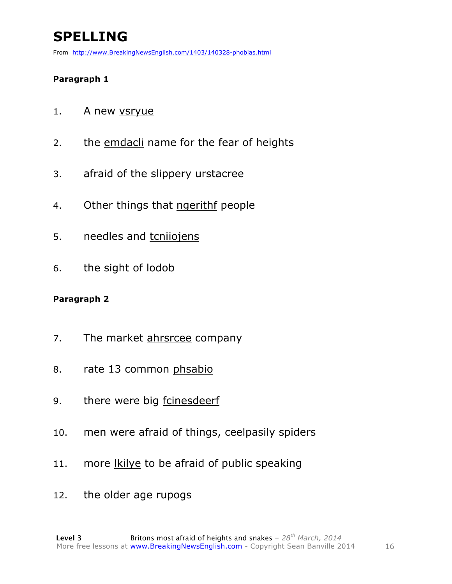# **SPELLING**

From http://www.BreakingNewsEnglish.com/1403/140328-phobias.html

#### **Paragraph 1**

- 1. A new vsryue
- 2. the emdacli name for the fear of heights
- 3. afraid of the slippery urstacree
- 4. Other things that ngerithf people
- 5. needles and tcniiojens
- 6. the sight of lodob

#### **Paragraph 2**

- 7. The market ahrsrcee company
- 8. rate 13 common phsabio
- 9. there were big fcinesdeerf
- 10. men were afraid of things, ceelpasily spiders
- 11. more lkilye to be afraid of public speaking
- 12. the older age rupogs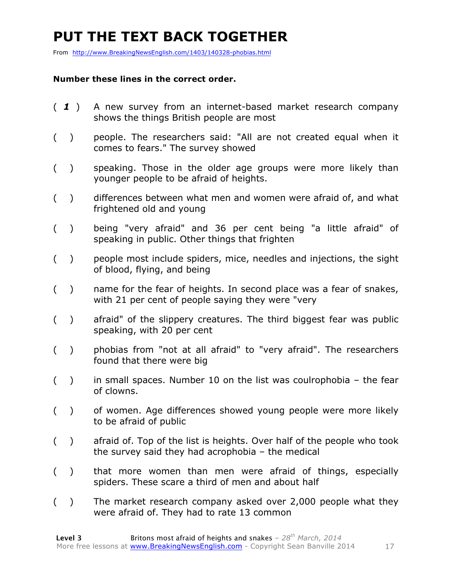### **PUT THE TEXT BACK TOGETHER**

From http://www.BreakingNewsEnglish.com/1403/140328-phobias.html

#### **Number these lines in the correct order.**

- ( *1* ) A new survey from an internet-based market research company shows the things British people are most
- ( ) people. The researchers said: "All are not created equal when it comes to fears." The survey showed
- ( ) speaking. Those in the older age groups were more likely than younger people to be afraid of heights.
- ( ) differences between what men and women were afraid of, and what frightened old and young
- ( ) being "very afraid" and 36 per cent being "a little afraid" of speaking in public. Other things that frighten
- ( ) people most include spiders, mice, needles and injections, the sight of blood, flying, and being
- ( ) name for the fear of heights. In second place was a fear of snakes, with 21 per cent of people saying they were "very
- ( ) afraid" of the slippery creatures. The third biggest fear was public speaking, with 20 per cent
- ( ) phobias from "not at all afraid" to "very afraid". The researchers found that there were big
- $($ ) in small spaces. Number 10 on the list was coulrophobia the fear of clowns.
- ( ) of women. Age differences showed young people were more likely to be afraid of public
- ( ) afraid of. Top of the list is heights. Over half of the people who took the survey said they had acrophobia – the medical
- ( ) that more women than men were afraid of things, especially spiders. These scare a third of men and about half
- ( ) The market research company asked over 2,000 people what they were afraid of. They had to rate 13 common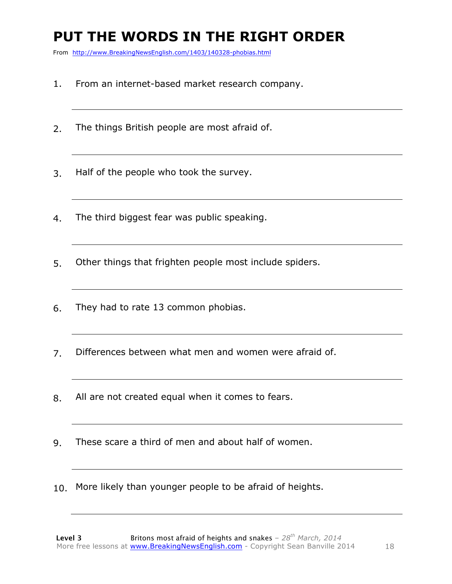## **PUT THE WORDS IN THE RIGHT ORDER**

From http://www.BreakingNewsEnglish.com/1403/140328-phobias.html

- 1. From an internet-based market research company.
- 2. The things British people are most afraid of.
- 3. Half of the people who took the survey.
- 4. The third biggest fear was public speaking.
- 5. Other things that frighten people most include spiders.
- 6. They had to rate 13 common phobias.
- 7. Differences between what men and women were afraid of.
- 8. All are not created equal when it comes to fears.
- 9. These scare a third of men and about half of women.
- 10. More likely than younger people to be afraid of heights.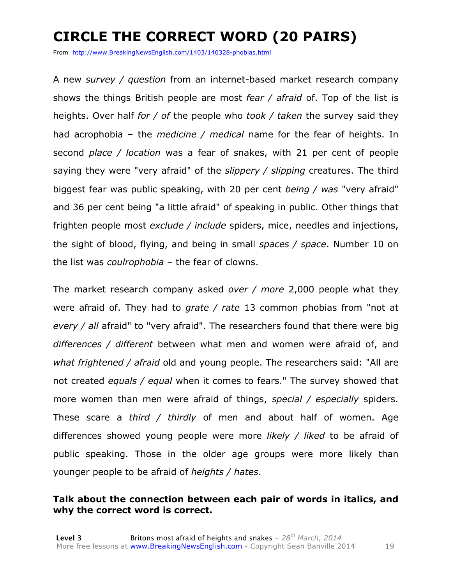# **CIRCLE THE CORRECT WORD (20 PAIRS)**

From http://www.BreakingNewsEnglish.com/1403/140328-phobias.html

A new *survey / question* from an internet-based market research company shows the things British people are most *fear / afraid* of. Top of the list is heights. Over half *for / of* the people who *took / taken* the survey said they had acrophobia – the *medicine / medical* name for the fear of heights. In second *place / location* was a fear of snakes, with 21 per cent of people saying they were "very afraid" of the *slippery / slipping* creatures. The third biggest fear was public speaking, with 20 per cent *being / was* "very afraid" and 36 per cent being "a little afraid" of speaking in public. Other things that frighten people most *exclude / include* spiders, mice, needles and injections, the sight of blood, flying, and being in small *spaces / space*. Number 10 on the list was *coulrophobia* – the fear of clowns.

The market research company asked *over / more* 2,000 people what they were afraid of. They had to *grate / rate* 13 common phobias from "not at *every / all* afraid" to "very afraid". The researchers found that there were big *differences / different* between what men and women were afraid of, and *what frightened / afraid* old and young people. The researchers said: "All are not created *equals / equal* when it comes to fears." The survey showed that more women than men were afraid of things, *special / especially* spiders. These scare a *third / thirdly* of men and about half of women. Age differences showed young people were more *likely / liked* to be afraid of public speaking. Those in the older age groups were more likely than younger people to be afraid of *heights / hates*.

#### **Talk about the connection between each pair of words in italics, and why the correct word is correct.**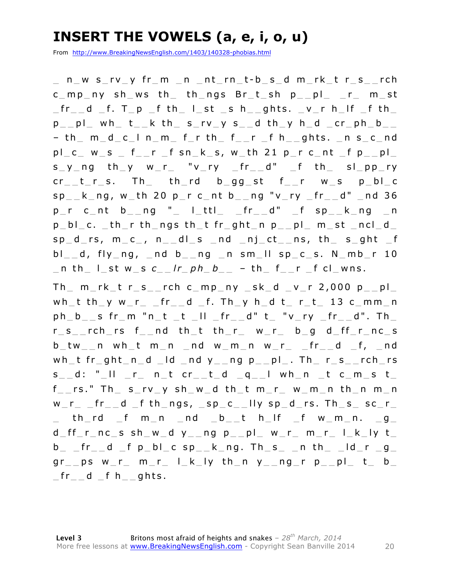#### **INSERT THE VOWELS (a, e, i, o, u)**

From http://www.BreakingNewsEnglish.com/1403/140328-phobias.html

\_ n \_ w s \_ r v \_ y fr \_ m \_ n \_ n t \_ r n \_ t - b \_ s \_ d m \_ r k \_ t r \_ s \_ \_ rch c mp ny sh ws th th ngs Br t sh p pl r m st  $_\text{fr}$  d  $_\text{f}$ . T  $_\text{p}$   $_\text{f}$  th  $_\text{l}$  ist  $_\text{c}$  s h  $_\text{g}$  ghts.  $_\text{v}$  r h  $_\text{l}$  if  $_\text{f}$  th p p l wh t  $k$  th s rv y s d th y h d cr ph b  $-$  th  $m_d_c$   $-$  l n  $m_f$  f  $r$  th  $f$   $r$   $-$  f h  $-$  ghts.  $-$  n s  $-$  c  $-$  nd  $p l_c w_s$  fr fsn ks, w th 21 p  $r$  c nt fp pl  $s_y$ ng th y w r "v ry fr d" f th sl pp ry  $cr_t$ <sub>\_t</sub>\_r\_s. Th\_ th\_rd b\_gg\_st f\_\_r w\_s p\_bl\_c sp  $k$  ng, w th 20 p  $r$  c nt b  $nq$  "v ry  $fr$  d" nd 36  $p r c_n t b_n q''$  | ttl fr d" f sp  $k_n q$  $p$  bl  $c.$  th  $r$  th ngs th t fr ght n  $p$  pl  $m$  st ncl d sp d rs,  $m c$ ,  $n$  dl s  $nd$  nj ct  $ns$ , th s qht f  $bl\_d$ , fly\_ng, \_nd  $bl\_ng$  \_ng \_n sm\_ll sp\_c\_s. N\_mb\_r 10 \_ n th \_ l \_ st w \_ s *c \_ \_ l r \_ p h \_ b \_ \_* – t h \_ f \_ \_ r \_ f cl \_ wns.

 $Th$   $m$ <sub>rk</sub>  $t$  r  $s$   $r$   $r$ ch  $c$   $mp$   $ny$   $sk$   $d$   $v$   $r$  2,000  $p$   $p$ wh\_t th\_y w\_r\_ \_fr\_\_d \_f. Th\_y h\_d t\_ r\_t\_ 13 c\_mm\_n ph b s fr  $m$  "n t t  $||$  fr  $d$ " t " $v$  ry  $f$ r  $d$ ". Th  $r_s$ \_rch\_rs f\_\_nd th\_t th\_r\_ w\_r\_ b\_g d\_ff\_r\_nc\_s  $b$ \_tw\_\_n wh\_t m\_n \_nd w\_m\_n w\_r\_ \_fr\_\_d \_f, \_nd wh\_t fr\_ght\_n\_d \_ld \_nd  $y$ \_\_ng  $p$ \_\_pl\_. Th\_ r\_s\_\_rch\_rs  $s$  d: " II r ntcr td q I whn tcmst  $f$  rs." Th  $s$  rv  $y$  sh  $w$  d th  $t$  m  $r$   $w$  m  $n$  th  $n$  m  $n$ w r  $f$ r d  $f$  th ngs,  $sp$  c lly sp d rs. Th s sc r  $\_$  th rd  $\_$ f m  $\_$ n  $\_$ nd  $\_$ b  $\_$ t h  $\_$ lf  $\_$ f w  $\_$ m  $\_$ n.  $\_$ g  $\_$ d  $ff$  r  $nc$  s sh  $w$  d  $y$   $ng$   $p$   $pl$   $w$   $r$   $m$   $r$   $l$   $k$   $ly$   $t$  $b$  \_  $fr_{-}$  d  $_f$  p  $bl_{-}$  c sp  $_k$  k  $n$ g. Th  $s_{-}$   $-$  n th  $_{-}$   $ld_{-}$ r  $-g_{-}$  $gr_{\perp}$ ps w\_r\_ m\_r\_ l\_k\_ly th\_n y\_\_ng\_r p\_\_pl\_ t\_ b\_  $_{\rm{}}$  fr $_{\rm{}}$   $_{\rm{}}$  d  $_{\rm{}}$  f h $_{\rm{}}$   $_{\rm{}}$  ghts.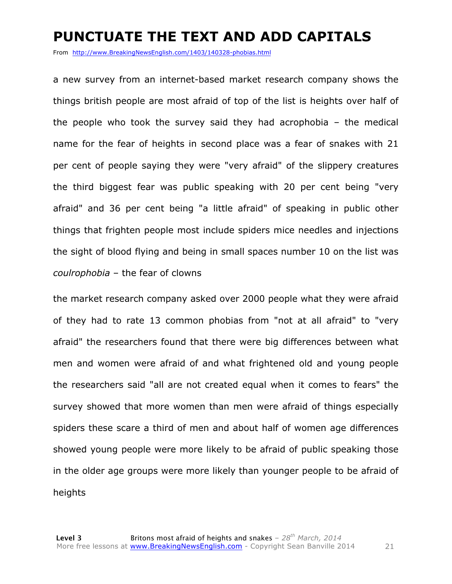#### **PUNCTUATE THE TEXT AND ADD CAPITALS**

From http://www.BreakingNewsEnglish.com/1403/140328-phobias.html

a new survey from an internet-based market research company shows the things british people are most afraid of top of the list is heights over half of the people who took the survey said they had acrophobia – the medical name for the fear of heights in second place was a fear of snakes with 21 per cent of people saying they were "very afraid" of the slippery creatures the third biggest fear was public speaking with 20 per cent being "very afraid" and 36 per cent being "a little afraid" of speaking in public other things that frighten people most include spiders mice needles and injections the sight of blood flying and being in small spaces number 10 on the list was *coulrophobia* – the fear of clowns

the market research company asked over 2000 people what they were afraid of they had to rate 13 common phobias from "not at all afraid" to "very afraid" the researchers found that there were big differences between what men and women were afraid of and what frightened old and young people the researchers said "all are not created equal when it comes to fears" the survey showed that more women than men were afraid of things especially spiders these scare a third of men and about half of women age differences showed young people were more likely to be afraid of public speaking those in the older age groups were more likely than younger people to be afraid of heights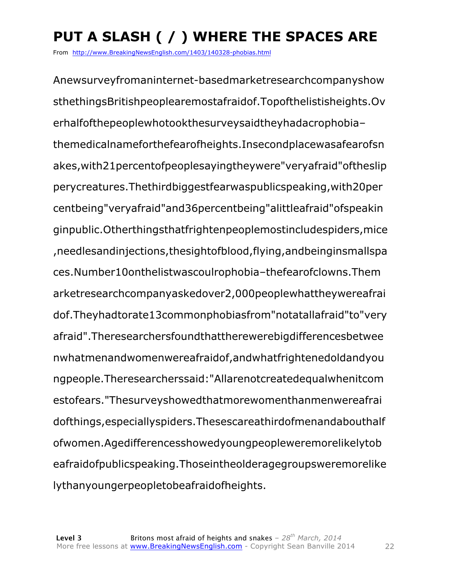# **PUT A SLASH ( / ) WHERE THE SPACES ARE**

From http://www.BreakingNewsEnglish.com/1403/140328-phobias.html

Anewsurveyfromaninternet-basedmarketresearchcompanyshow sthethingsBritishpeoplearemostafraidof.Topofthelistisheights.Ov erhalfofthepeoplewhotookthesurveysaidtheyhadacrophobia– themedicalnameforthefearofheights.Insecondplacewasafearofsn akes,with21percentofpeoplesayingtheywere"veryafraid"oftheslip perycreatures.Thethirdbiggestfearwaspublicspeaking,with20per centbeing"veryafraid"and36percentbeing"alittleafraid"ofspeakin ginpublic.Otherthingsthatfrightenpeoplemostincludespiders,mice ,needlesandinjections,thesightofblood,flying,andbeinginsmallspa ces.Number10onthelistwascoulrophobia–thefearofclowns.Them arketresearchcompanyaskedover2,000peoplewhattheywereafrai dof.Theyhadtorate13commonphobiasfrom"notatallafraid"to"very afraid".Theresearchersfoundthattherewerebigdifferencesbetwee nwhatmenandwomenwereafraidof,andwhatfrightenedoldandyou ngpeople.Theresearcherssaid:"Allarenotcreatedequalwhenitcom estofears."Thesurveyshowedthatmorewomenthanmenwereafrai dofthings,especiallyspiders.Thesescareathirdofmenandabouthalf ofwomen.Agedifferencesshowedyoungpeopleweremorelikelytob eafraidofpublicspeaking.Thoseintheolderagegroupsweremorelike lythanyoungerpeopletobeafraidofheights.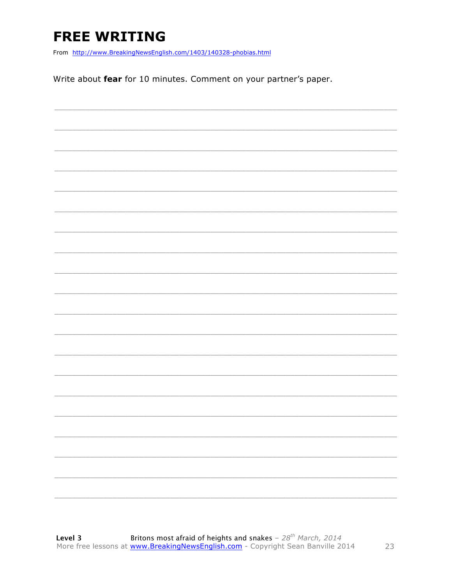# **FREE WRITING**

From http://www.BreakingNewsEnglish.com/1403/140328-phobias.html

Write about fear for 10 minutes. Comment on your partner's paper.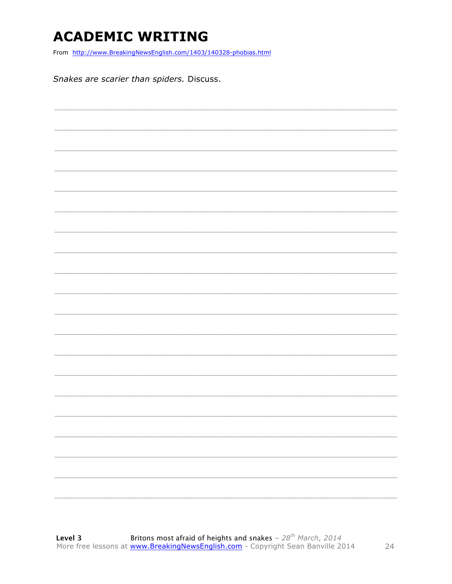#### **ACADEMIC WRITING**

From http://www.BreakingNewsEnglish.com/1403/140328-phobias.html

Snakes are scarier than spiders. Discuss.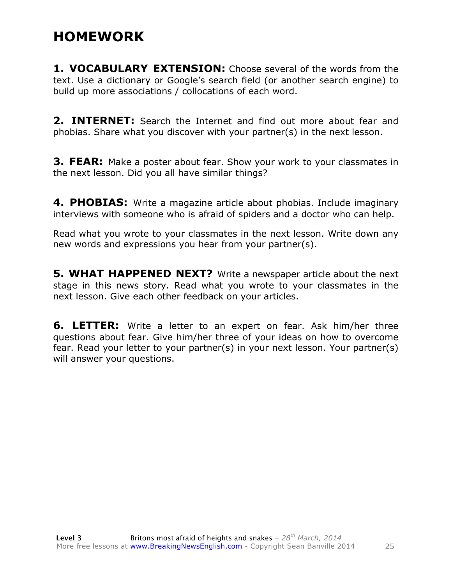#### **HOMEWORK**

**1. VOCABULARY EXTENSION:** Choose several of the words from the text. Use a dictionary or Google's search field (or another search engine) to build up more associations / collocations of each word.

**2. INTERNET:** Search the Internet and find out more about fear and phobias. Share what you discover with your partner(s) in the next lesson.

**3. FEAR:** Make a poster about fear. Show your work to your classmates in the next lesson. Did you all have similar things?

**4. PHOBIAS:** Write a magazine article about phobias. Include imaginary interviews with someone who is afraid of spiders and a doctor who can help.

Read what you wrote to your classmates in the next lesson. Write down any new words and expressions you hear from your partner(s).

**5. WHAT HAPPENED NEXT?** Write a newspaper article about the next stage in this news story. Read what you wrote to your classmates in the next lesson. Give each other feedback on your articles.

**6. LETTER:** Write a letter to an expert on fear. Ask him/her three questions about fear. Give him/her three of your ideas on how to overcome fear. Read your letter to your partner(s) in your next lesson. Your partner(s) will answer your questions.